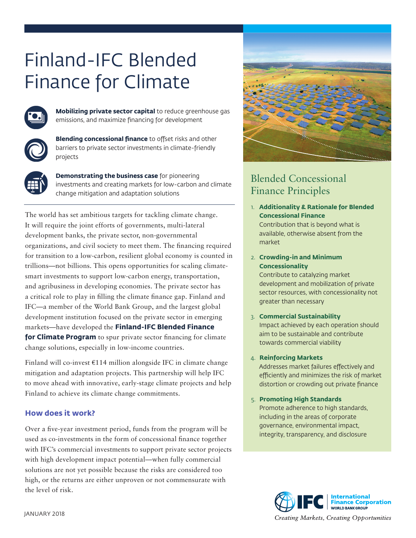# Finland-IFC Blended Finance for Climate



**Mobilizing private sector capital** to reduce greenhouse gas emissions, and maximize financing for development



**Blending concessional finance** to offset risks and other barriers to private sector investments in climate-friendly projects



**Demonstrating the business case** for pioneering investments and creating markets for low-carbon and climate change mitigation and adaptation solutions

The world has set ambitious targets for tackling climate change. It will require the joint efforts of governments, multi-lateral development banks, the private sector, non-governmental organizations, and civil society to meet them. The financing required for transition to a low-carbon, resilient global economy is counted in trillions—not billions. This opens opportunities for scaling climatesmart investments to support low-carbon energy, transportation, and agribusiness in developing economies. The private sector has a critical role to play in filling the climate finance gap. Finland and IFC—a member of the World Bank Group, and the largest global development institution focused on the private sector in emerging markets—have developed the **Finland-IFC Blended Finance for Climate Program** to spur private sector financing for climate change solutions, especially in low-income countries.

Finland will co-invest  $E114$  million alongside IFC in climate change mitigation and adaptation projects. This partnership will help IFC to move ahead with innovative, early-stage climate projects and help Finland to achieve its climate change commitments.

# **How does it work?**

Over a five-year investment period, funds from the program will be used as co-investments in the form of concessional finance together with IFC's commercial investments to support private sector projects with high development impact potential—when fully commercial solutions are not yet possible because the risks are considered too high, or the returns are either unproven or not commensurate with the level of risk.



# Blended Concessional Finance Principles

1. **Additionality & Rationale for Blended Concessional Finance**

Contribution that is beyond what is available, otherwise absent from the market

2. **Crowding-in and Minimum Concessionality**

Contribute to catalyzing market development and mobilization of private sector resources, with concessionality not greater than necessary

#### 3. **Commercial Sustainability**

Impact achieved by each operation should aim to be sustainable and contribute towards commercial viability

#### 4. **Reinforcing Markets**

Addresses market failures effectively and efficiently and minimizes the risk of market distortion or crowding out private finance

#### 5. **Promoting High Standards**

Promote adherence to high standards, including in the areas of corporate governance, environmental impact, integrity, transparency, and disclosure